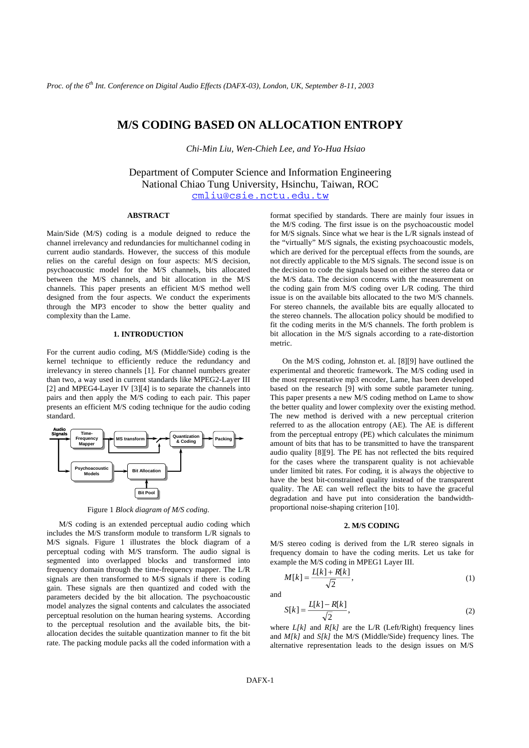# **M/S CODING BASED ON ALLOCATION ENTROPY**

*Chi-Min Liu, Wen-Chieh Lee, and Yo-Hua Hsiao* 

Department of Computer Science and Information Engineering National Chiao Tung University, Hsinchu, Taiwan, ROC cmliu@csie.nctu.edu.tw

## **ABSTRACT**

Main/Side (M/S) coding is a module deigned to reduce the channel irrelevancy and redundancies for multichannel coding in current audio standards. However, the success of this module relies on the careful design on four aspects: M/S decision, psychoacoustic model for the M/S channels, bits allocated between the M/S channels, and bit allocation in the M/S channels. This paper presents an efficient M/S method well designed from the four aspects. We conduct the experiments through the MP3 encoder to show the better quality and complexity than the Lame.

# **1. INTRODUCTION**

For the current audio coding, M/S (Middle/Side) coding is the kernel technique to efficiently reduce the redundancy and irrelevancy in stereo channels [1]. For channel numbers greater than two, a way used in current standards like MPEG2-Layer III [2] and MPEG4-Layer IV [3][4] is to separate the channels into pairs and then apply the M/S coding to each pair. This paper presents an efficient M/S coding technique for the audio coding standard.



Figure 1 *Block diagram of M/S coding.*

M/S coding is an extended perceptual audio coding which includes the M/S transform module to transform L/R signals to M/S signals. Figure 1 illustrates the block diagram of a perceptual coding with M/S transform. The audio signal is segmented into overlapped blocks and transformed into frequency domain through the time-frequency mapper. The L/R signals are then transformed to M/S signals if there is coding gain. These signals are then quantized and coded with the parameters decided by the bit allocation. The psychoacoustic model analyzes the signal contents and calculates the associated perceptual resolution on the human hearing systems. According to the perceptual resolution and the available bits, the bitallocation decides the suitable quantization manner to fit the bit rate. The packing module packs all the coded information with a

format specified by standards. There are mainly four issues in the M/S coding. The first issue is on the psychoacoustic model for M/S signals. Since what we hear is the L/R signals instead of the "virtually" M/S signals, the existing psychoacoustic models, which are derived for the perceptual effects from the sounds, are not directly applicable to the M/S signals. The second issue is on the decision to code the signals based on either the stereo data or the M/S data. The decision concerns with the measurement on the coding gain from M/S coding over L/R coding. The third issue is on the available bits allocated to the two M/S channels. For stereo channels, the available bits are equally allocated to the stereo channels. The allocation policy should be modified to fit the coding merits in the M/S channels. The forth problem is bit allocation in the M/S signals according to a rate-distortion metric.

On the M/S coding, Johnston et. al. [8][9] have outlined the experimental and theoretic framework. The M/S coding used in the most representative mp3 encoder, Lame, has been developed based on the research [9] with some subtle parameter tuning. This paper presents a new M/S coding method on Lame to show the better quality and lower complexity over the existing method. The new method is derived with a new perceptual criterion referred to as the allocation entropy (AE). The AE is different from the perceptual entropy (PE) which calculates the minimum amount of bits that has to be transmitted to have the transparent audio quality [8][9]. The PE has not reflected the bits required for the cases where the transparent quality is not achievable under limited bit rates. For coding, it is always the objective to have the best bit-constrained quality instead of the transparent quality. The AE can well reflect the bits to have the graceful degradation and have put into consideration the bandwidthproportional noise-shaping criterion [10].

#### **2. M/S CODING**

M/S stereo coding is derived from the L/R stereo signals in frequency domain to have the coding merits. Let us take for example the M/S coding in MPEG1 Layer III.

$$
M[k] = \frac{L[k] + R[k]}{\sqrt{2}},\tag{1}
$$

and

$$
S[k] = \frac{L[k] - R[k]}{\sqrt{2}},\tag{2}
$$

where  $L[k]$  and  $R[k]$  are the  $L/R$  (Left/Right) frequency lines and *M[k]* and *S[k]* the M/S (Middle/Side) frequency lines. The alternative representation leads to the design issues on M/S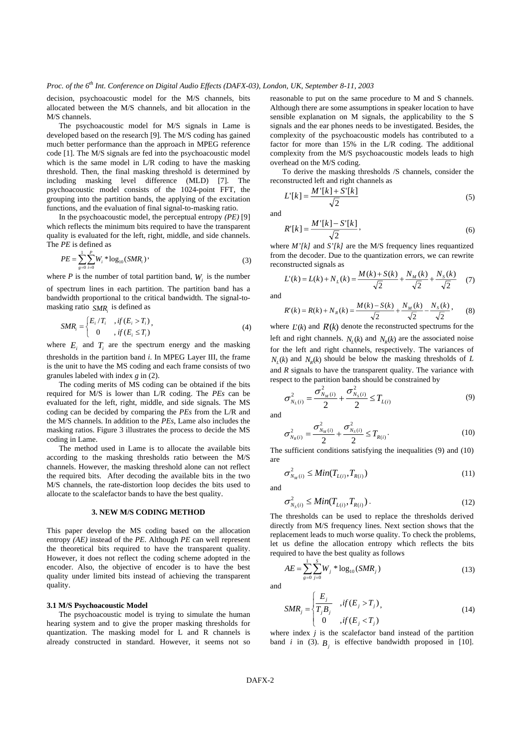decision, psychoacoustic model for the M/S channels, bits allocated between the M/S channels, and bit allocation in the M/S channels.

The psychoacoustic model for M/S signals in Lame is developed based on the research [9]. The M/S coding has gained much better performance than the approach in MPEG reference code [1]. The M/S signals are fed into the psychoacoustic model which is the same model in L/R coding to have the masking threshold. Then, the final masking threshold is determined by including masking level difference (MLD) [7]. The psychoacoustic model consists of the 1024-point FFT, the grouping into the partition bands, the applying of the excitation functions, and the evaluation of final signal-to-masking ratio.

In the psychoacoustic model, the perceptual entropy *(PE)* [9] which reflects the minimum bits required to have the transparent quality is evaluated for the left, right, middle, and side channels. The *PE* is defined as

$$
PE = \sum_{g=0}^{1} \sum_{i=0}^{P} W_i * \log_{10}(SMR_i)
$$
 (3)

where  $P$  is the number of total partition band,  $W_i$  is the number of spectrum lines in each partition. The partition band has a bandwidth proportional to the critical bandwidth. The signal-tomasking ratio *SMR*, is defined as

$$
SMR_i = \begin{cases} E_i/T_i, & \text{if } (E_i > T_i) \\ 0, & \text{if } (E_i \le T_i) \end{cases} \tag{4}
$$

where  $E_i$  and  $T_i$  are the spectrum energy and the masking thresholds in the partition band *i*. In MPEG Layer III, the frame is the unit to have the MS coding and each frame consists of two granules labeled with index *g* in (2).

The coding merits of MS coding can be obtained if the bits required for M/S is lower than L/R coding. The *PEs* can be evaluated for the left, right, middle, and side signals. The MS coding can be decided by comparing the *PEs* from the L/R and the M/S channels. In addition to the *PEs*, Lame also includes the masking ratios. Figure 3 illustrates the process to decide the MS coding in Lame.

The method used in Lame is to allocate the available bits according to the masking thresholds ratio between the M/S channels. However, the masking threshold alone can not reflect the required bits. After decoding the available bits in the two M/S channels, the rate-distortion loop decides the bits used to allocate to the scalefactor bands to have the best quality.

#### **3. NEW M/S CODING METHOD**

This paper develop the MS coding based on the allocation entropy *(AE)* instead of the *PE*. Although *PE* can well represent the theoretical bits required to have the transparent quality. However, it does not reflect the coding scheme adopted in the encoder. Also, the objective of encoder is to have the best quality under limited bits instead of achieving the transparent quality.

#### **3.1 M/S Psychoacoustic Model**

The psychoacoustic model is trying to simulate the human hearing system and to give the proper masking thresholds for quantization. The masking model for L and R channels is already constructed in standard. However, it seems not so

reasonable to put on the same procedure to M and S channels. Although there are some assumptions in speaker location to have sensible explanation on M signals, the applicability to the S signals and the ear phones needs to be investigated. Besides, the complexity of the psychoacoustic models has contributed to a factor for more than 15% in the L/R coding. The additional complexity from the M/S psychoacoustic models leads to high overhead on the M/S coding.

To derive the masking thresholds /S channels, consider the reconstructed left and right channels as

$$
L'[k] = \frac{M'[k] + S'[k]}{\sqrt{2}}\tag{5}
$$

and

$$
R'[k] = \frac{M'[k] - S'[k]}{\sqrt{2}},
$$
\n(6)

where *M'[k]* and *S'[k]* are the M/S frequency lines requantized from the decoder. Due to the quantization errors, we can rewrite reconstructed signals as

$$
L'(k) = L(k) + N_L(k) = \frac{M(k) + S(k)}{\sqrt{2}} + \frac{N_M(k)}{\sqrt{2}} + \frac{N_S(k)}{\sqrt{2}} \tag{7}
$$

and

$$
R'(k) = R(k) + N_R(k) = \frac{M(k) - S(k)}{\sqrt{2}} + \frac{N_M(k)}{\sqrt{2}} - \frac{N_S(k)}{\sqrt{2}},
$$
 (8)

where  $L'(k)$  and  $R'(k)$  denote the reconstructed spectrums for the left and right channels.  $N_r(k)$  and  $N_n(k)$  are the associated noise for the left and right channels, respectively. The variances of  $N_r(k)$  and  $N_\nu(k)$  should be below the masking thresholds of *L* and *R* signals to have the transparent quality. The variance with respect to the partition bands should be constrained by

$$
\sigma_{N_L(i)}^2 = \frac{\sigma_{N_M(i)}^2}{2} + \frac{\sigma_{N_S(i)}^2}{2} \le T_{L(i)}
$$
\n(9)

and

$$
\sigma_{N_R(i)}^2 = \frac{\sigma_{N_M(i)}^2}{2} + \frac{\sigma_{N_S(i)}^2}{2} \le T_{R(i)}.
$$
\n(10)

The sufficient conditions satisfying the inequalities (9) and (10) are

$$
\sigma_{N_M(i)}^2 \leq Min(T_{L(i)}, T_{R(i)})
$$
\n(11)

and

$$
\sigma_{N_S(i)}^2 \leq Min(T_{L(i)}, T_{R(i)})\,. \tag{12}
$$

The thresholds can be used to replace the thresholds derived directly from M/S frequency lines. Next section shows that the replacement leads to much worse quality. To check the problems, let us define the allocation entropy which reflects the bits required to have the best quality as follows

$$
AE = \sum_{g=0}^{1} \sum_{j=0}^{S} W_j * \log_{10}(SMR_j)
$$
\n(13)

and

$$
SMR_j = \begin{cases} \frac{E_j}{T_jB_j} & , if (E_j > T_j), \\ 0 & , if (E_j < T_j) \end{cases}
$$
 (14)

where index *j* is the scalefactor band instead of the partition band  $i$  in (3).  $B_i$  is effective bandwidth proposed in [10].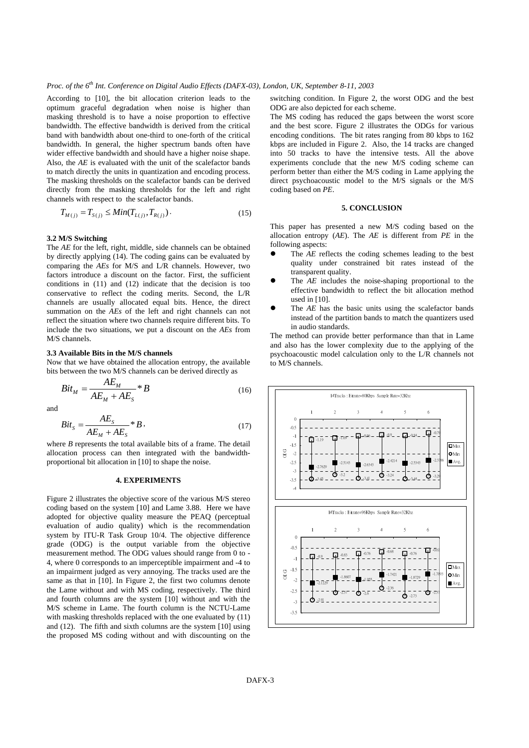According to [10], the bit allocation criterion leads to the optimum graceful degradation when noise is higher than masking threshold is to have a noise proportion to effective bandwidth. The effective bandwidth is derived from the critical band with bandwidth about one-third to one-forth of the critical bandwidth. In general, the higher spectrum bands often have wider effective bandwidth and should have a higher noise shape. Also, the *AE* is evaluated with the unit of the scalefactor bands to match directly the units in quantization and encoding process. The masking thresholds on the scalefactor bands can be derived directly from the masking thresholds for the left and right channels with respect to the scalefactor bands.

$$
T_{M(j)} = T_{S(j)} \le Min(T_{L(j)}, T_{R(j)})
$$
 (15)

#### **3.2 M/S Switching**

The *AE* for the left, right, middle, side channels can be obtained by directly applying (14). The coding gains can be evaluated by comparing the *AEs* for M/S and L/R channels. However, two factors introduce a discount on the factor. First, the sufficient conditions in (11) and (12) indicate that the decision is too conservative to reflect the coding merits. Second, the L/R channels are usually allocated equal bits. Hence, the direct summation on the *AEs* of the left and right channels can not reflect the situation where two channels require different bits. To include the two situations, we put a discount on the *AEs* from M/S channels.

#### **3.3 Available Bits in the M/S channels**

Now that we have obtained the allocation entropy, the available bits between the two M/S channels can be derived directly as

$$
Bit_M = \frac{AE_M}{AE_M + AE_S} * B \tag{16}
$$

and

$$
Bit_S = \frac{AE_S}{AE_M + AE_S} * B,
$$
\n(17)

where *B* represents the total available bits of a frame. The detail allocation process can then integrated with the bandwidthproportional bit allocation in [10] to shape the noise.

#### **4. EXPERIMENTS**

Figure 2 illustrates the objective score of the various M/S stereo coding based on the system [10] and Lame 3.88. Here we have adopted for objective quality measure the PEAQ (perceptual evaluation of audio quality) which is the recommendation system by ITU-R Task Group 10/4. The objective difference grade (ODG) is the output variable from the objective measurement method. The ODG values should range from 0 to - 4, where 0 corresponds to an imperceptible impairment and -4 to an impairment judged as very annoying. The tracks used are the same as that in [10]. In Figure 2, the first two columns denote the Lame without and with MS coding, respectively. The third and fourth columns are the system [10] without and with the M/S scheme in Lame. The fourth column is the NCTU-Lame with masking thresholds replaced with the one evaluated by (11) and (12). The fifth and sixth columns are the system [10] using the proposed MS coding without and with discounting on the

switching condition. In Figure 2, the worst ODG and the best ODG are also depicted for each scheme.

The MS coding has reduced the gaps between the worst score and the best score. Figure 2 illustrates the ODGs for various encoding conditions. The bit rates ranging from 80 kbps to 162 kbps are included in Figure 2. Also, the 14 tracks are changed into 50 tracks to have the intensive tests. All the above experiments conclude that the new M/S coding scheme can perform better than either the M/S coding in Lame applying the direct psychoacoustic model to the M/S signals or the M/S coding based on *PE*.

#### **5. CONCLUSION**

This paper has presented a new M/S coding based on the allocation entropy (*AE*). The *AE* is different from *PE* in the following aspects:

- The *AE* reflects the coding schemes leading to the best quality under constrained bit rates instead of the transparent quality.
- The *AE* includes the noise-shaping proportional to the effective bandwidth to reflect the bit allocation method used in [10].
- The *AE* has the basic units using the scalefactor bands instead of the partition bands to match the quantizers used in audio standards.

The method can provide better performance than that in Lame and also has the lower complexity due to the applying of the psychoacoustic model calculation only to the L/R channels not to M/S channels.